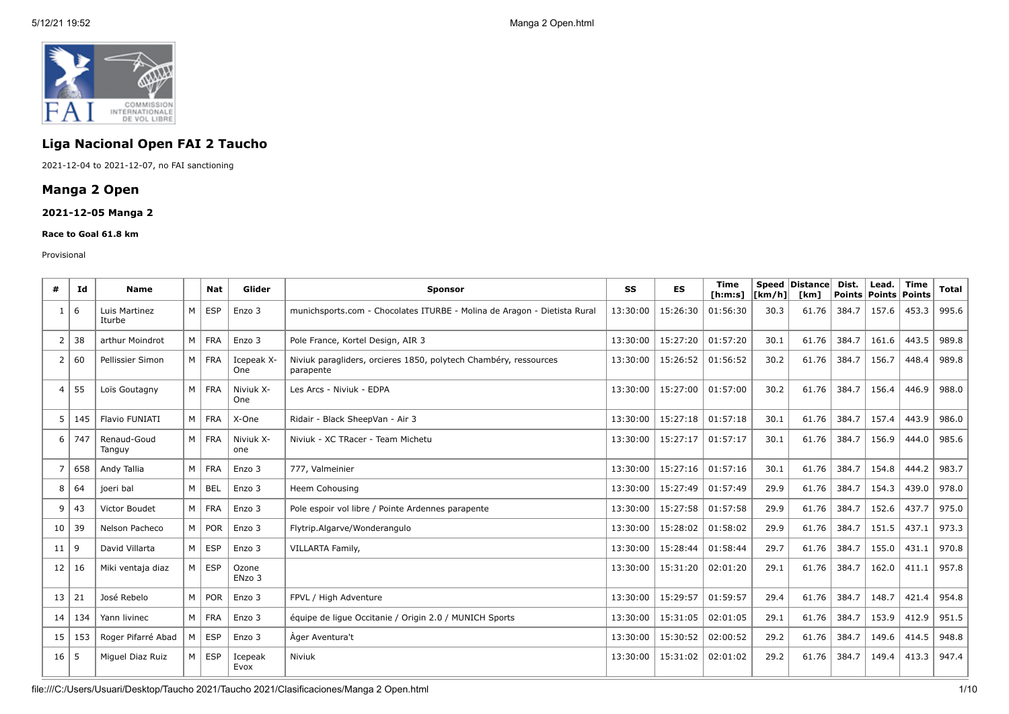

# **Liga Nacional Open FAI 2 Taucho**

2021-12-04 to 2021-12-07, no FAI sanctioning

# **Manga 2 Open**

## **2021-12-05 Manga 2**

#### **Race to Goal 61.8 km**

#### Provisional

| #              | Ιd  | <b>Name</b>             |          | <b>Nat</b>   | Glider            | <b>Sponsor</b>                                                                |          | ES       | <b>Time</b><br>[ h: m: s] | [km/h] | <b>Speed Distance</b><br>[km] | Dist.<br><b>Points</b> | Lead.<br><b>Points</b> | <b>Time</b><br>Points | <b>Total</b> |
|----------------|-----|-------------------------|----------|--------------|-------------------|-------------------------------------------------------------------------------|----------|----------|---------------------------|--------|-------------------------------|------------------------|------------------------|-----------------------|--------------|
|                | 6   | Luis Martinez<br>Iturbe | $M \mid$ | ESP          | Enzo 3            | munichsports.com - Chocolates ITURBE - Molina de Aragon - Dietista Rural      | 13:30:00 | 15:26:30 | 01:56:30                  | 30.3   | 61.76                         | 384.7                  | 157.6                  | 453.3                 | 995.6        |
| 2              | 38  | arthur Moindrot         |          | M FRA        | Enzo 3            | Pole France, Kortel Design, AIR 3                                             | 13:30:00 | 15:27:20 | 01:57:20                  | 30.1   | 61.76                         | 384.7                  | 161.6                  | 443.5                 | 989.8        |
| 2              | 60  | Pellissier Simon        |          | M FRA        | Icepeak X-<br>One | Niviuk paragliders, orcieres 1850, polytech Chambéry, ressources<br>parapente | 13:30:00 | 15:26:52 | 01:56:52                  | 30.2   | 61.76                         | 384.7                  | 156.7                  | 448.4                 | 989.8        |
| $\overline{4}$ | 55  | Loïs Goutagny           | $M \mid$ | <b>FRA</b>   | Niviuk X-<br>One  | Les Arcs - Niviuk - EDPA                                                      | 13:30:00 | 15:27:00 | 01:57:00                  | 30.2   | 61.76                         | 384.7                  | 156.4                  | 446.9                 | 988.0        |
| .5             | 145 | Flavio FUNIATI          | $M \mid$ | <b>FRA</b>   | X-One             | Ridair - Black SheepVan - Air 3                                               | 13:30:00 | 15:27:18 | 01:57:18                  | 30.1   | 61.76                         | 384.7                  | 157.4                  | 443.9                 | 986.0        |
| 6              | 747 | Renaud-Goud<br>Tanguy   |          | M FRA        | Niviuk X-<br>one  | Niviuk - XC TRacer - Team Michetu                                             | 13:30:00 | 15:27:17 | 01:57:17                  | 30.1   | 61.76                         | 384.7                  | 156.9                  | 444.0                 | 985.6        |
|                | 658 | Andy Tallia             |          | M FRA        | Enzo 3            | 777, Valmeinier                                                               | 13:30:00 | 15:27:16 | 01:57:16                  | 30.1   | 61.76                         | 384.7                  | 154.8                  | 444.2                 | 983.7        |
| 8              | 64  | joeri bal               | $M \mid$ | BEL          | Enzo 3            | Heem Cohousing                                                                | 13:30:00 | 15:27:49 | 01:57:49                  | 29.9   | 61.76                         | 384.7                  | 154.3                  | 439.0                 | 978.0        |
| 9              | 43  | Victor Boudet           |          | M FRA        | Enzo 3            | Pole espoir vol libre / Pointe Ardennes parapente                             | 13:30:00 | 15:27:58 | 01:57:58                  | 29.9   | 61.76                         | 384.7                  | 152.6                  | 437.7                 | 975.0        |
| 10             | 39  | Nelson Pacheco          |          | M POR        | Enzo 3            | Flytrip.Algarve/Wonderangulo                                                  | 13:30:00 | 15:28:02 | 01:58:02                  | 29.9   | 61.76                         | 384.7                  | 151.5                  | 437.1                 | 973.3        |
| 11             | 9   | David Villarta          | $M \mid$ | ESP          | Enzo 3            | VILLARTA Family,                                                              | 13:30:00 | 15:28:44 | 01:58:44                  | 29.7   | 61.76                         | 384.7                  | 155.0                  | 431.1                 | 970.8        |
| 12             | 16  | Miki ventaja diaz       | $M \mid$ | <b>ESP</b>   | Ozone<br>ENzo 3   |                                                                               | 13:30:00 | 15:31:20 | 02:01:20                  | 29.1   | 61.76                         | 384.7                  | 162.0                  | 411.1                 | 957.8        |
| 13             | 21  | José Rebelo             |          | $M \mid POR$ | Enzo 3            | FPVL / High Adventure                                                         | 13:30:00 | 15:29:57 | 01:59:57                  | 29.4   | 61.76                         | 384.7                  | 148.7                  | 421.4                 | 954.8        |
| 14             | 134 | Yann livinec            |          | M FRA        | Enzo 3            | équipe de ligue Occitanie / Origin 2.0 / MUNICH Sports                        | 13:30:00 | 15:31:05 | 02:01:05                  | 29.1   | 61.76                         | 384.7                  | 153.9                  | 412.9                 | 951.5        |
| 15             | 153 | Roger Pifarré Abad      | M        | ESP          | Enzo 3            | Ager Aventura't                                                               | 13:30:00 | 15:30:52 | 02:00:52                  | 29.2   | 61.76                         | 384.7                  | 149.6                  | 414.5                 | 948.8        |
| 16             | 5   | Miquel Diaz Ruiz        | $M \mid$ | ESP          | Icepeak<br>Evox   | Niviuk                                                                        | 13:30:00 | 15:31:02 | 02:01:02                  | 29.2   | 61.76                         | 384.7                  | 149.4                  | 413.3                 | 947.4        |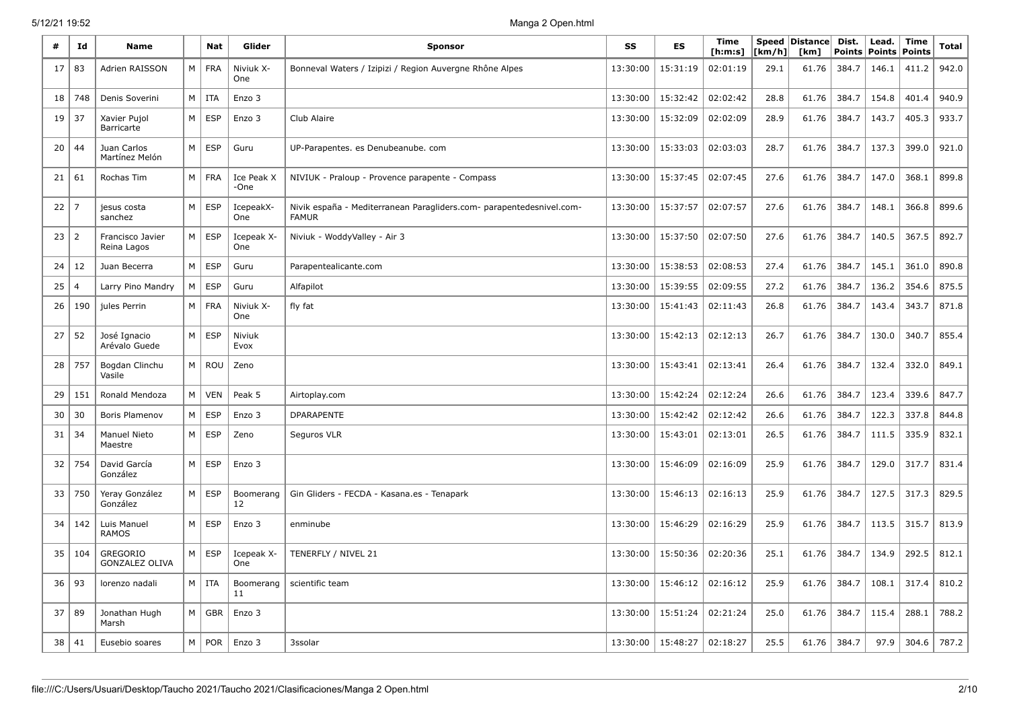| #  | Id             | Name                                     |   | Nat        | Glider                   | <b>Sponsor</b>                                                                       |          | <b>ES</b> | Time<br>[ h: m: s] | [km/h] | Speed   Distance  <br>[km] | Dist.<br><b>Points</b> | Lead.<br><b>Points</b> | <b>Time</b><br>Points | Total |
|----|----------------|------------------------------------------|---|------------|--------------------------|--------------------------------------------------------------------------------------|----------|-----------|--------------------|--------|----------------------------|------------------------|------------------------|-----------------------|-------|
| 17 | 83             | Adrien RAISSON                           | М | <b>FRA</b> | Niviuk X-<br>One         | Bonneval Waters / Izipizi / Region Auvergne Rhône Alpes                              | 13:30:00 | 15:31:19  | 02:01:19           | 29.1   | 61.76                      | 384.7                  | 146.1                  | 411.2                 | 942.0 |
| 18 | 748            | Denis Soverini                           | M | <b>ITA</b> | Enzo 3                   |                                                                                      | 13:30:00 | 15:32:42  | 02:02:42           | 28.8   | 61.76                      | 384.7                  | 154.8                  | 401.4                 | 940.9 |
| 19 | 37             | Xavier Pujol<br>Barricarte               | M | <b>ESP</b> | Enzo 3                   | Club Alaire                                                                          | 13:30:00 | 15:32:09  | 02:02:09           | 28.9   | 61.76                      | 384.7                  | 143.7                  | 405.3                 | 933.7 |
| 20 | 44             | Juan Carlos<br>Martínez Melón            | M | <b>ESP</b> | Guru                     | UP-Parapentes. es Denubeanube. com                                                   | 13:30:00 | 15:33:03  | 02:03:03           | 28.7   | 61.76                      | 384.7                  | 137.3                  | 399.0                 | 921.0 |
| 21 | 61             | Rochas Tim                               | М | <b>FRA</b> | Ice Peak X<br>-One       | NIVIUK - Praloup - Provence parapente - Compass                                      | 13:30:00 | 15:37:45  | 02:07:45           | 27.6   | 61.76                      | 384.7                  | 147.0                  | 368.1                 | 899.8 |
| 22 | 7              | jesus costa<br>sanchez                   | M | <b>ESP</b> | IcepeakX-<br>One         | Nivik españa - Mediterranean Paragliders.com- parapentedesnivel.com-<br><b>FAMUR</b> | 13:30:00 | 15:37:57  | 02:07:57           | 27.6   | 61.76                      | 384.7                  | 148.1                  | 366.8                 | 899.6 |
| 23 | $\overline{2}$ | Francisco Javier<br>Reina Lagos          | M | <b>ESP</b> | Icepeak X-<br><b>One</b> | Niviuk - WoddyValley - Air 3                                                         | 13:30:00 | 15:37:50  | 02:07:50           | 27.6   | 61.76                      | 384.7                  | 140.5                  | 367.5                 | 892.7 |
| 24 | 12             | Juan Becerra                             | M | <b>ESP</b> | Guru                     | Parapentealicante.com                                                                | 13:30:00 | 15:38:53  | 02:08:53           | 27.4   | 61.76                      | 384.7                  | 145.1                  | 361.0                 | 890.8 |
| 25 | 4              | Larry Pino Mandry                        | M | <b>ESP</b> | Guru                     | Alfapilot                                                                            | 13:30:00 | 15:39:55  | 02:09:55           | 27.2   | 61.76                      | 384.7                  | 136.2                  | 354.6                 | 875.5 |
| 26 | 190            | jules Perrin                             | M | <b>FRA</b> | Niviuk X-<br>One         | fly fat                                                                              | 13:30:00 | 15:41:43  | 02:11:43           | 26.8   | 61.76                      | 384.7                  | 143.4                  | 343.7                 | 871.8 |
| 27 | 52             | José Ignacio<br>Arévalo Guede            | M | <b>ESP</b> | Niviuk<br>Evox           |                                                                                      | 13:30:00 | 15:42:13  | 02:12:13           | 26.7   | 61.76                      | 384.7                  | 130.0                  | 340.7                 | 855.4 |
| 28 | 757            | Bogdan Clinchu<br>Vasile                 | M | ROU        | Zeno                     |                                                                                      | 13:30:00 | 15:43:41  | 02:13:41           | 26.4   | 61.76                      | 384.7                  | 132.4                  | 332.0                 | 849.1 |
| 29 | 151            | Ronald Mendoza                           | M | <b>VEN</b> | Peak 5                   | Airtoplay.com                                                                        | 13:30:00 | 15:42:24  | 02:12:24           | 26.6   | 61.76                      | 384.7                  | 123.4                  | 339.6                 | 847.7 |
| 30 | 30             | Boris Plamenov                           | M | <b>ESP</b> | Enzo 3                   | <b>DPARAPENTE</b>                                                                    | 13:30:00 | 15:42:42  | 02:12:42           | 26.6   | 61.76                      | 384.7                  | 122.3                  | 337.8                 | 844.8 |
| 31 | 34             | Manuel Nieto<br>Maestre                  | М | <b>ESP</b> | Zeno                     | Seguros VLR                                                                          | 13:30:00 | 15:43:01  | 02:13:01           | 26.5   | 61.76                      | 384.7                  | 111.5                  | 335.9                 | 832.1 |
| 32 | 754            | David García<br>González                 | M | <b>ESP</b> | Enzo 3                   |                                                                                      | 13:30:00 | 15:46:09  | 02:16:09           | 25.9   | 61.76                      | 384.7                  | 129.0                  | 317.7                 | 831.4 |
| 33 | 750            | Yeray González<br>González               | M | <b>ESP</b> | Boomerang<br>12          | Gin Gliders - FECDA - Kasana.es - Tenapark                                           | 13:30:00 | 15:46:13  | 02:16:13           | 25.9   | 61.76                      | 384.7                  | 127.5                  | 317.3                 | 829.5 |
| 34 | 142            | Luis Manuel<br><b>RAMOS</b>              | M | <b>ESP</b> | Enzo 3                   | enminube                                                                             | 13:30:00 | 15:46:29  | 02:16:29           | 25.9   | 61.76                      | 384.7                  | 113.5                  | 315.7                 | 813.9 |
| 35 | 104            | <b>GREGORIO</b><br><b>GONZALEZ OLIVA</b> | М | <b>ESP</b> | Icepeak X-<br><b>One</b> | TENERFLY / NIVEL 21                                                                  | 13:30:00 | 15:50:36  | 02:20:36           | 25.1   | 61.76                      | 384.7                  | 134.9                  | 292.5                 | 812.1 |
| 36 | 93             | lorenzo nadali                           | М | ITA        | Boomerang<br>11          | scientific team                                                                      | 13:30:00 | 15:46:12  | 02:16:12           | 25.9   | 61.76                      | 384.7                  | 108.1                  | 317.4                 | 810.2 |
| 37 | 89             | Jonathan Hugh<br>Marsh                   | M | GBR        | Enzo 3                   |                                                                                      | 13:30:00 | 15:51:24  | 02:21:24           | 25.0   | 61.76                      | 384.7                  | 115.4                  | 288.1                 | 788.2 |
| 38 | 41             | Eusebio soares                           | М | <b>POR</b> | Enzo 3                   | 3ssolar                                                                              | 13:30:00 | 15:48:27  | 02:18:27           | 25.5   | 61.76                      | 384.7                  | 97.9                   | 304.6                 | 787.2 |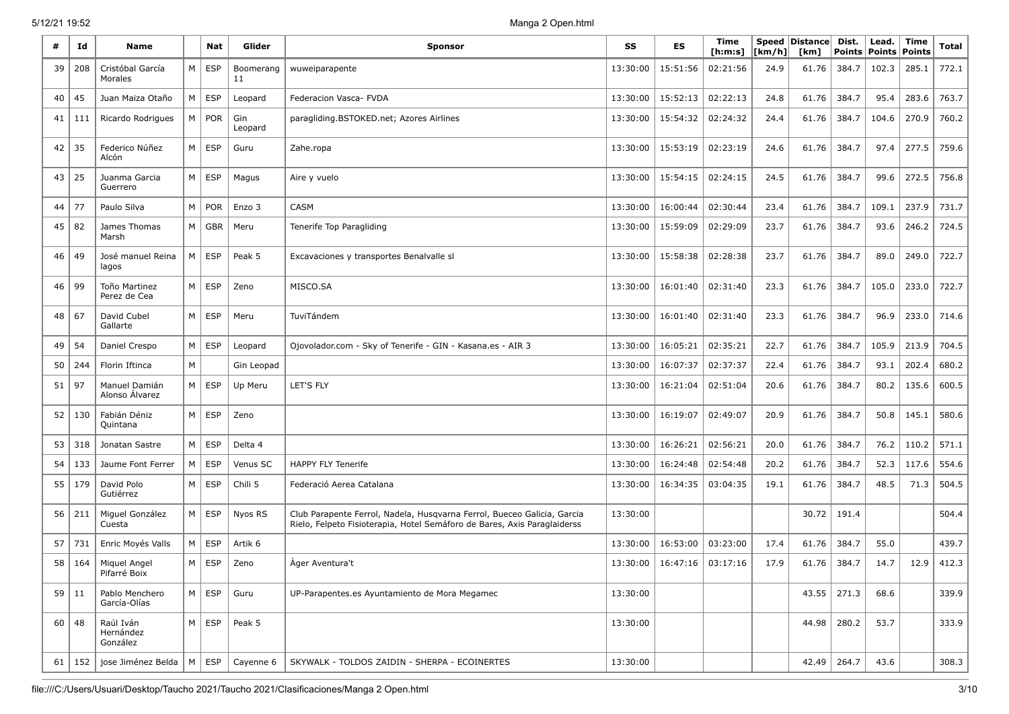|    | Ιd      | Name                               |   | <b>Nat</b> | Glider          | <b>Sponsor</b>                                                                                                                                      | SS       | ES       | Time<br>[h:m:s] | [km/h] | <b>Speed Distance</b><br>[km] | Dist.<br><b>Points</b> | Lead.<br><b>Points</b> | Time<br><b>Points</b> | Total |
|----|---------|------------------------------------|---|------------|-----------------|-----------------------------------------------------------------------------------------------------------------------------------------------------|----------|----------|-----------------|--------|-------------------------------|------------------------|------------------------|-----------------------|-------|
| 39 | 208     | Cristóbal García<br>Morales        | М | <b>ESP</b> | Boomerang<br>11 | wuweiparapente                                                                                                                                      | 13:30:00 | 15:51:56 | 02:21:56        | 24.9   | 61.76                         | 384.7                  | 102.3                  | 285.1                 | 772.1 |
| 40 | 45      | Juan Maiza Otaño                   | М | <b>ESP</b> | Leopard         | Federacion Vasca- FVDA                                                                                                                              | 13:30:00 | 15:52:13 | 02:22:13        | 24.8   | 61.76                         | 384.7                  | 95.4                   | 283.6                 | 763.7 |
| 41 | 111     | Ricardo Rodrigues                  | M | <b>POR</b> | Gin<br>Leopard  | paragliding.BSTOKED.net; Azores Airlines                                                                                                            | 13:30:00 | 15:54:32 | 02:24:32        | 24.4   | 61.76                         | 384.7                  | 104.6                  | 270.9                 | 760.2 |
| 42 | 35      | Federico Núñez<br>Alcón            | M | <b>ESP</b> | Guru            | Zahe.ropa                                                                                                                                           | 13:30:00 | 15:53:19 | 02:23:19        | 24.6   | 61.76                         | 384.7                  | 97.4                   | 277.5                 | 759.6 |
| 43 | 25      | Juanma Garcia<br>Guerrero          | M | <b>ESP</b> | Magus           | Aire y vuelo                                                                                                                                        | 13:30:00 | 15:54:15 | 02:24:15        | 24.5   | 61.76                         | 384.7                  | 99.6                   | 272.5                 | 756.8 |
| 44 | 77      | Paulo Silva                        | M | <b>POR</b> | Enzo 3          | CASM                                                                                                                                                | 13:30:00 | 16:00:44 | 02:30:44        | 23.4   | 61.76                         | 384.7                  | 109.1                  | 237.9                 | 731.7 |
| 45 | 82      | James Thomas<br>Marsh              | M | <b>GBR</b> | Meru            | Tenerife Top Paragliding                                                                                                                            | 13:30:00 | 15:59:09 | 02:29:09        | 23.7   | 61.76                         | 384.7                  | 93.6                   | 246.2                 | 724.5 |
| 46 | 49      | José manuel Reina<br>lagos         | M | <b>ESP</b> | Peak 5          | Excavaciones y transportes Benalvalle sl                                                                                                            | 13:30:00 | 15:58:38 | 02:28:38        | 23.7   | 61.76                         | 384.7                  | 89.0                   | 249.0                 | 722.7 |
| 46 | 99      | Toño Martinez<br>Perez de Cea      | М | <b>ESP</b> | Zeno            | MISCO.SA                                                                                                                                            | 13:30:00 | 16:01:40 | 02:31:40        | 23.3   | 61.76                         | 384.7                  | 105.0                  | 233.0                 | 722.7 |
| 48 | 67      | David Cubel<br>Gallarte            | M | <b>ESP</b> | Meru            | TuviTándem                                                                                                                                          | 13:30:00 | 16:01:40 | 02:31:40        | 23.3   | 61.76                         | 384.7                  | 96.9                   | 233.0                 | 714.6 |
| 49 | 54      | Daniel Crespo                      | М | <b>ESP</b> | Leopard         | Ojovolador.com - Sky of Tenerife - GIN - Kasana.es - AIR 3                                                                                          | 13:30:00 | 16:05:21 | 02:35:21        | 22.7   | 61.76                         | 384.7                  | 105.9                  | 213.9                 | 704.5 |
| 50 | 244     | Florin Iftinca                     | M |            | Gin Leopad      |                                                                                                                                                     | 13:30:00 | 16:07:37 | 02:37:37        | 22.4   | 61.76                         | 384.7                  | 93.1                   | 202.4                 | 680.2 |
| 51 | 97      | Manuel Damián<br>Alonso Álvarez    | М | <b>ESP</b> | Up Meru         | LET'S FLY                                                                                                                                           | 13:30:00 | 16:21:04 | 02:51:04        | 20.6   | 61.76                         | 384.7                  | 80.2                   | 135.6                 | 600.5 |
| 52 | 130     | Fabián Déniz<br>Quintana           | M | <b>ESP</b> | Zeno            |                                                                                                                                                     | 13:30:00 | 16:19:07 | 02:49:07        | 20.9   | 61.76                         | 384.7                  | 50.8                   | 145.1                 | 580.6 |
| 53 | 318     | Jonatan Sastre                     | М | <b>ESP</b> | Delta 4         |                                                                                                                                                     | 13:30:00 | 16:26:21 | 02:56:21        | 20.0   | 61.76                         | 384.7                  | 76.2                   | 110.2                 | 571.1 |
| 54 | 133     | Jaume Font Ferrer                  | М | <b>ESP</b> | Venus SC        | <b>HAPPY FLY Tenerife</b>                                                                                                                           | 13:30:00 | 16:24:48 | 02:54:48        | 20.2   | 61.76                         | 384.7                  | 52.3                   | 117.6                 | 554.6 |
| 55 | 179     | David Polo<br>Gutiérrez            | М | <b>ESP</b> | Chili 5         | Federació Aerea Catalana                                                                                                                            | 13:30:00 | 16:34:35 | 03:04:35        | 19.1   | 61.76                         | 384.7                  | 48.5                   | 71.3                  | 504.5 |
| 56 | 211     | Miguel González<br>Cuesta          | М | <b>ESP</b> | Nyos RS         | Club Parapente Ferrol, Nadela, Husqvarna Ferrol, Bueceo Galicia, Garcia<br>Rielo, Felpeto Fisioterapia, Hotel Semáforo de Bares, Axis Paraglaiderss | 13:30:00 |          |                 |        | 30.72                         | 191.4                  |                        |                       | 504.4 |
| 57 | 731     | Enric Moyés Valls                  | М | <b>ESP</b> | Artik 6         |                                                                                                                                                     | 13:30:00 | 16:53:00 | 03:23:00        | 17.4   | 61.76                         | 384.7                  | 55.0                   |                       | 439.7 |
| 58 | 164     | Miquel Angel<br>Pifarré Boix       | M | <b>ESP</b> | Zeno            | Ager Aventura't                                                                                                                                     | 13:30:00 | 16:47:16 | 03:17:16        | 17.9   | 61.76                         | 384.7                  | 14.7                   | 12.9                  | 412.3 |
|    | 59 11   | Pablo Menchero<br>García-Olías     | M | <b>ESP</b> | Guru            | UP-Parapentes.es Ayuntamiento de Mora Megamec                                                                                                       | 13:30:00 |          |                 |        | 43.55                         | 271.3                  | 68.6                   |                       | 339.9 |
|    | 60   48 | Raúl Iván<br>Hernández<br>González | M | ESP        | Peak 5          |                                                                                                                                                     | 13:30:00 |          |                 |        | 44.98                         | 280.2                  | 53.7                   |                       | 333.9 |
| 61 | 152     | iose Jiménez Belda                 | M | ESP        | Cayenne 6       | SKYWALK - TOLDOS ZAIDIN - SHERPA - ECOINERTES                                                                                                       | 13:30:00 |          |                 |        | 42.49                         | 264.7                  | 43.6                   |                       | 308.3 |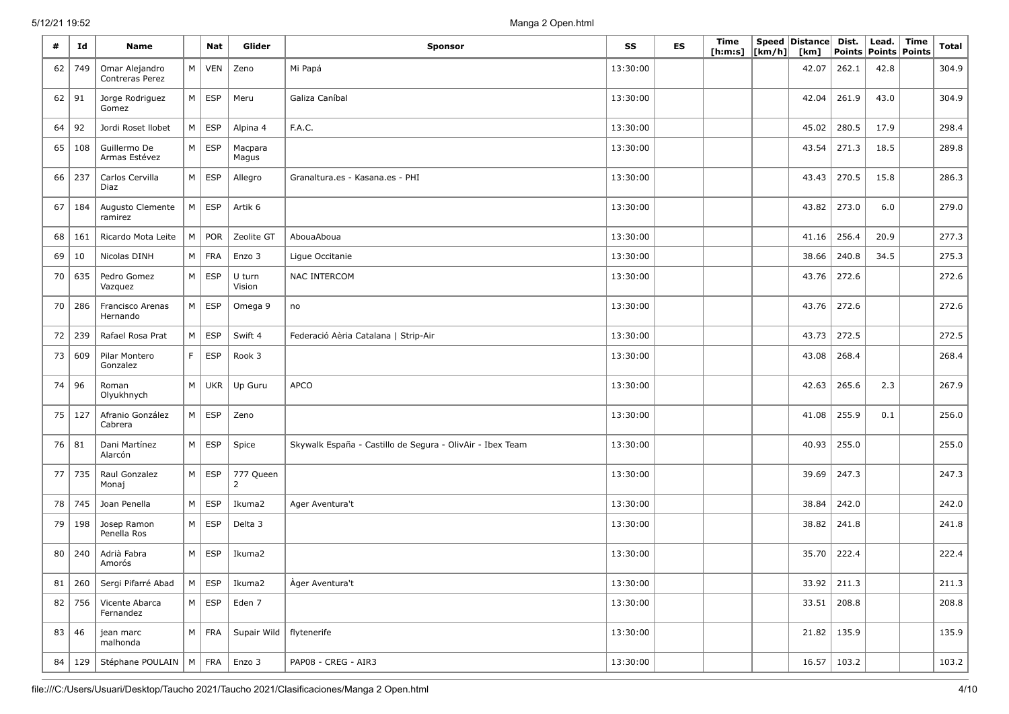| #  | Id       | Name                              |           | Nat           | Glider                      | <b>Sponsor</b>                                            | SS       | <b>ES</b> | Time<br>[ h: m: s] | [km/h] | Speed Distance<br>[km] | Dist.<br><b>Points</b> | Lead.<br><b>Points</b> | <b>Time</b><br>Points | <b>Total</b> |
|----|----------|-----------------------------------|-----------|---------------|-----------------------------|-----------------------------------------------------------|----------|-----------|--------------------|--------|------------------------|------------------------|------------------------|-----------------------|--------------|
| 62 | 749      | Omar Alejandro<br>Contreras Perez | М         | <b>VEN</b>    | Zeno                        | Mi Papá                                                   | 13:30:00 |           |                    |        | 42.07                  | 262.1                  | 42.8                   |                       | 304.9        |
| 62 | 91       | Jorge Rodriguez<br>Gomez          | M         | <b>ESP</b>    | Meru                        | Galiza Caníbal                                            | 13:30:00 |           |                    |        | 42.04                  | 261.9                  | 43.0                   |                       | 304.9        |
| 64 | 92       | Jordi Roset Ilobet                | ${\sf M}$ | <b>ESP</b>    | Alpina 4                    | F.A.C.                                                    | 13:30:00 |           |                    |        | 45.02                  | 280.5                  | 17.9                   |                       | 298.4        |
| 65 | 108      | Guillermo De<br>Armas Estévez     | M         | <b>ESP</b>    | Macpara<br>Magus            |                                                           | 13:30:00 |           |                    |        | 43.54                  | 271.3                  | 18.5                   |                       | 289.8        |
| 66 | 237      | Carlos Cervilla<br>Diaz           | $M \mid$  | <b>ESP</b>    | Allegro                     | Granaltura.es - Kasana.es - PHI                           | 13:30:00 |           |                    |        | 43.43                  | 270.5                  | 15.8                   |                       | 286.3        |
| 67 | 184      | Augusto Clemente<br>ramirez       | M         | <b>ESP</b>    | Artik 6                     |                                                           | 13:30:00 |           |                    |        | 43.82                  | 273.0                  | 6.0                    |                       | 279.0        |
| 68 | 161      | Ricardo Mota Leite                | M         | <b>POR</b>    | Zeolite GT                  | AbouaAboua                                                | 13:30:00 |           |                    |        | 41.16                  | 256.4                  | 20.9                   |                       | 277.3        |
| 69 | 10       | Nicolas DINH                      | M         | <b>FRA</b>    | Enzo 3                      | Ligue Occitanie                                           | 13:30:00 |           |                    |        | 38.66                  | 240.8                  | 34.5                   |                       | 275.3        |
| 70 | 635      | Pedro Gomez<br>Vazquez            | M         | ESP           | U turn<br>Vision            | <b>NAC INTERCOM</b>                                       | 13:30:00 |           |                    |        | 43.76                  | 272.6                  |                        |                       | 272.6        |
| 70 | 286      | Francisco Arenas<br>Hernando      | M         | <b>ESP</b>    | Omega 9                     | no                                                        | 13:30:00 |           |                    |        | 43.76                  | 272.6                  |                        |                       | 272.6        |
| 72 | 239      | Rafael Rosa Prat                  | M         | <b>ESP</b>    | Swift 4                     | Federació Aèria Catalana   Strip-Air                      | 13:30:00 |           |                    |        | 43.73                  | 272.5                  |                        |                       | 272.5        |
| 73 | 609      | Pilar Montero<br>Gonzalez         | F         | <b>ESP</b>    | Rook 3                      |                                                           | 13:30:00 |           |                    |        | 43.08                  | 268.4                  |                        |                       | 268.4        |
| 74 | 96       | Roman<br>Olyukhnych               | M         | <b>UKR</b>    | Up Guru                     | <b>APCO</b>                                               | 13:30:00 |           |                    |        | 42.63                  | 265.6                  | 2.3                    |                       | 267.9        |
| 75 | 127      | Afranio González<br>Cabrera       | M         | <b>ESP</b>    | Zeno                        |                                                           | 13:30:00 |           |                    |        | 41.08                  | 255.9                  | 0.1                    |                       | 256.0        |
| 76 | 81       | Dani Martínez<br>Alarcón          | M         | ESP           | Spice                       | Skywalk España - Castillo de Segura - OlivAir - Ibex Team | 13:30:00 |           |                    |        | 40.93                  | 255.0                  |                        |                       | 255.0        |
| 77 | 735      | Raul Gonzalez<br>Monaj            | M         | <b>ESP</b>    | 777 Queen<br>$\overline{2}$ |                                                           | 13:30:00 |           |                    |        | 39.69                  | 247.3                  |                        |                       | 247.3        |
| 78 | 745      | Joan Penella                      | M         | ESP           | Ikuma2                      | Ager Aventura't                                           | 13:30:00 |           |                    |        | 38.84                  | 242.0                  |                        |                       | 242.0        |
| 79 | 198      | Josep Ramon<br>Penella Ros        | M         | <b>ESP</b>    | Delta 3                     |                                                           | 13:30:00 |           |                    |        | 38.82                  | 241.8                  |                        |                       | 241.8        |
| 80 | 240      | Adrià Fabra<br>Amorós             | M         | ESP           | Ikuma2                      |                                                           | 13:30:00 |           |                    |        | 35.70                  | 222.4                  |                        |                       | 222.4        |
| 81 | 260      | Sergi Pifarré Abad                | M         | <b>ESP</b>    | Ikuma2                      | Àger Aventura't                                           | 13:30:00 |           |                    |        | 33.92                  | 211.3                  |                        |                       | 211.3        |
|    | $82$ 756 | Vicente Abarca<br>Fernandez       |           | $M \vert ESP$ | Eden 7                      |                                                           | 13:30:00 |           |                    |        | 33.51                  | 208.8                  |                        |                       | 208.8        |
| 83 | 46       | jean marc<br>malhonda             |           | $M$ FRA       | Supair Wild   flytenerife   |                                                           | 13:30:00 |           |                    |        | 21.82                  | 135.9                  |                        |                       | 135.9        |
| 84 | 129      | Stéphane POULAIN   M              |           | FRA           | Enzo 3                      | PAP08 - CREG - AIR3                                       | 13:30:00 |           |                    |        | 16.57                  | 103.2                  |                        |                       | 103.2        |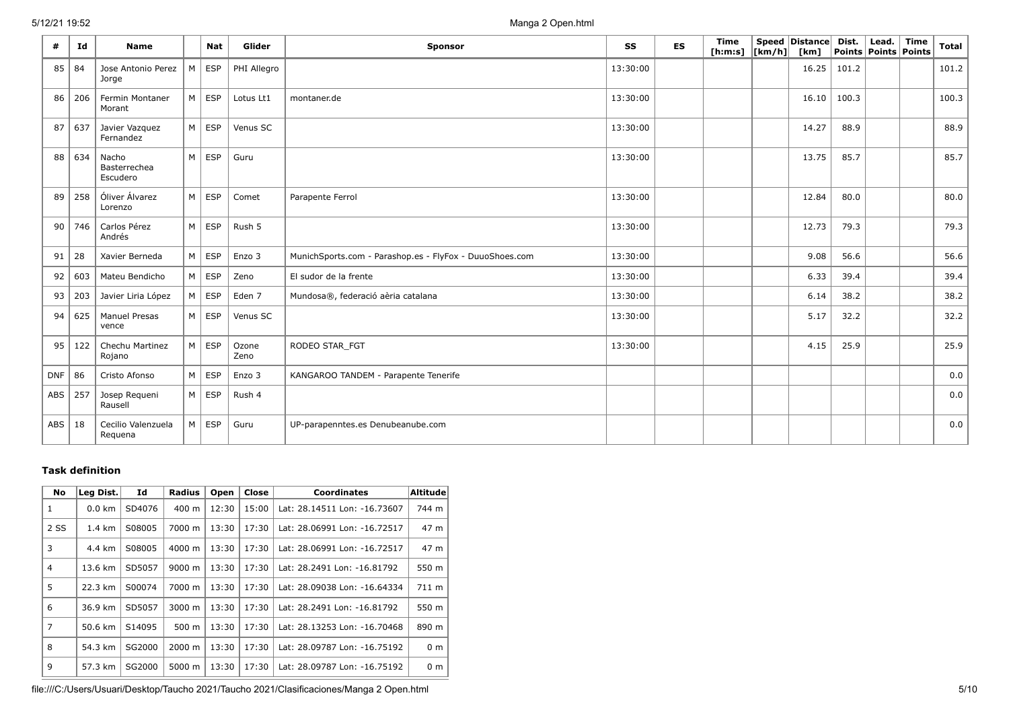| #          | Id  | <b>Name</b>                       |   | <b>Nat</b>    | Glider        | Sponsor                                                 | SS       | <b>ES</b> | Time<br>[ h: m: s] | Speed Distance<br>$\lfloor km/h \rfloor$ [km] | Dist. | Lead.<br>Points   Points   Points | Time | Total |
|------------|-----|-----------------------------------|---|---------------|---------------|---------------------------------------------------------|----------|-----------|--------------------|-----------------------------------------------|-------|-----------------------------------|------|-------|
| 85         | 84  | Jose Antonio Perez<br>Jorge       | M | <b>ESP</b>    | PHI Allegro   |                                                         | 13:30:00 |           |                    | 16.25                                         | 101.2 |                                   |      | 101.2 |
| 86         | 206 | Fermin Montaner<br>Morant         |   | $M \vert$ ESP | Lotus Lt1     | montaner.de                                             | 13:30:00 |           |                    | 16.10                                         | 100.3 |                                   |      | 100.3 |
| 87         | 637 | Javier Vazquez<br>Fernandez       | M | ESP           | Venus SC      |                                                         | 13:30:00 |           |                    | 14.27                                         | 88.9  |                                   |      | 88.9  |
| 88         | 634 | Nacho<br>Basterrechea<br>Escudero | M | ESP           | Guru          |                                                         | 13:30:00 |           |                    | 13.75                                         | 85.7  |                                   |      | 85.7  |
| 89         | 258 | Óliver Álvarez<br>Lorenzo         |   | $M \vert$ ESP | Comet         | Parapente Ferrol                                        | 13:30:00 |           |                    | 12.84                                         | 80.0  |                                   |      | 80.0  |
| 90         | 746 | Carlos Pérez<br>Andrés            | M | ESP           | Rush 5        |                                                         | 13:30:00 |           |                    | 12.73                                         | 79.3  |                                   |      | 79.3  |
| 91         | 28  | Xavier Berneda                    |   | $M \vert ESP$ | Enzo 3        | MunichSports.com - Parashop.es - FlyFox - DuuoShoes.com | 13:30:00 |           |                    | 9.08                                          | 56.6  |                                   |      | 56.6  |
| 92         | 603 | Mateu Bendicho                    |   | $M \vert ESP$ | Zeno          | El sudor de la frente                                   | 13:30:00 |           |                    | 6.33                                          | 39.4  |                                   |      | 39.4  |
| 93         | 203 | Javier Liria López                |   | $M \vert ESP$ | Eden 7        | Mundosa®, federació aèria catalana                      | 13:30:00 |           |                    | 6.14                                          | 38.2  |                                   |      | 38.2  |
| 94         | 625 | <b>Manuel Presas</b><br>vence     |   | $M \vert ESP$ | Venus SC      |                                                         | 13:30:00 |           |                    | 5.17                                          | 32.2  |                                   |      | 32.2  |
| 95         | 122 | Chechu Martinez<br>Rojano         |   | $M \vert ESP$ | Ozone<br>Zeno | RODEO STAR FGT                                          | 13:30:00 |           |                    | 4.15                                          | 25.9  |                                   |      | 25.9  |
| <b>DNF</b> | 86  | Cristo Afonso                     | M | <b>ESP</b>    | Enzo 3        | KANGAROO TANDEM - Parapente Tenerife                    |          |           |                    |                                               |       |                                   |      | 0.0   |
| ABS        | 257 | Josep Requeni<br>Rausell          |   | $M \vert ESP$ | Rush 4        |                                                         |          |           |                    |                                               |       |                                   |      | 0.0   |
| $ABS$   18 |     | Cecilio Valenzuela<br>Requena     |   | $M \vert ESP$ | Guru          | UP-parapenntes.es Denubeanube.com                       |          |           |                    |                                               |       |                                   |      | 0.0   |

### **Task definition**

| <b>No</b>      | Leg Dist.        | Id     | <b>Radius</b>      | Open  | Close | <b>Coordinates</b>           | <b>Altitude</b> |
|----------------|------------------|--------|--------------------|-------|-------|------------------------------|-----------------|
| 1              | $0.0 \text{ km}$ | SD4076 | $400 \text{ m}$    | 12:30 | 15:00 | Lat: 28.14511 Lon: -16.73607 | 744 m           |
| 2 SS           | $1.4 \text{ km}$ | S08005 | 7000 m             | 13:30 | 17:30 | Lat: 28.06991 Lon: -16.72517 | 47 m            |
| 3              | 4.4 km           | S08005 | 4000 m             | 13:30 | 17:30 | Lat: 28.06991 Lon: -16.72517 | 47 m            |
| 4              | 13.6 km          | SD5057 | $9000 \; m$        | 13:30 | 17:30 | Lat: 28.2491 Lon: -16.81792  | 550 m           |
| 5              | 22.3 km          | S00074 | 7000 m             | 13:30 | 17:30 | Lat: 28.09038 Lon: -16.64334 | 711 m           |
| 6              | 36.9 km          | SD5057 | $3000 \; \text{m}$ | 13:30 | 17:30 | Lat: 28.2491 Lon: -16.81792  | 550 m           |
| $\overline{7}$ | 50.6 km          | S14095 | $500 \text{ m}$    | 13:30 | 17:30 | Lat: 28.13253 Lon: -16.70468 | 890 m           |
| 8              | 54.3 km          | SG2000 | 2000 m             | 13:30 | 17:30 | Lat: 28.09787 Lon: -16.75192 | 0 <sub>m</sub>  |
| 9              | 57.3 km          | SG2000 | 5000 m             | 13:30 | 17:30 | Lat: 28.09787 Lon: -16.75192 | 0 <sub>m</sub>  |

file:///C:/Users/Usuari/Desktop/Taucho 2021/Taucho 2021/Clasificaciones/Manga 2 Open.html 5/10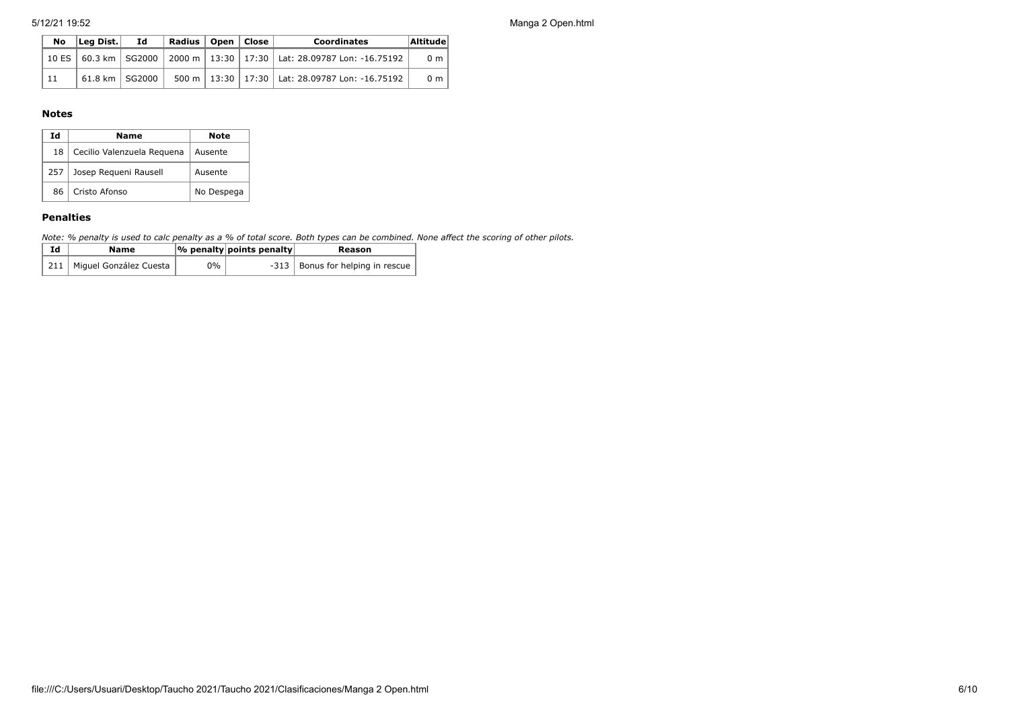| No | Leg Dist.          | Ιd | Radius   Open   Close |  | <b>Coordinates</b>                                                               | Altitude       |
|----|--------------------|----|-----------------------|--|----------------------------------------------------------------------------------|----------------|
|    |                    |    |                       |  | 10 ES   60.3 km   SG2000   2000 m   13:30   17:30   Lat: 28.09787 Lon: -16.75192 | 0 <sub>m</sub> |
| 11 | 61.8 km   SG2000 i |    |                       |  | 500 m   13:30   17:30   Lat: 28.09787 Lon: -16.75192                             | 0 <sub>m</sub> |

#### **Notes**

| Ιd  | Name                       | Note       |
|-----|----------------------------|------------|
| 18  | Cecilio Valenzuela Requena | Ausente    |
| 257 | Josep Requeni Rausell      | Ausente    |
| 86  | Cristo Afonso              | No Despega |

#### **Penalties**

*Note: % penalty is used to calc penalty as a % of total score. Both types can be combined. None affect the scoring of other pilots.*

| Ιd | Name                         |    | $ \%$ penalty points penalty | Reason                             |
|----|------------------------------|----|------------------------------|------------------------------------|
|    | 211   Miguel González Cuesta | 0% |                              | -313   Bonus for helping in rescue |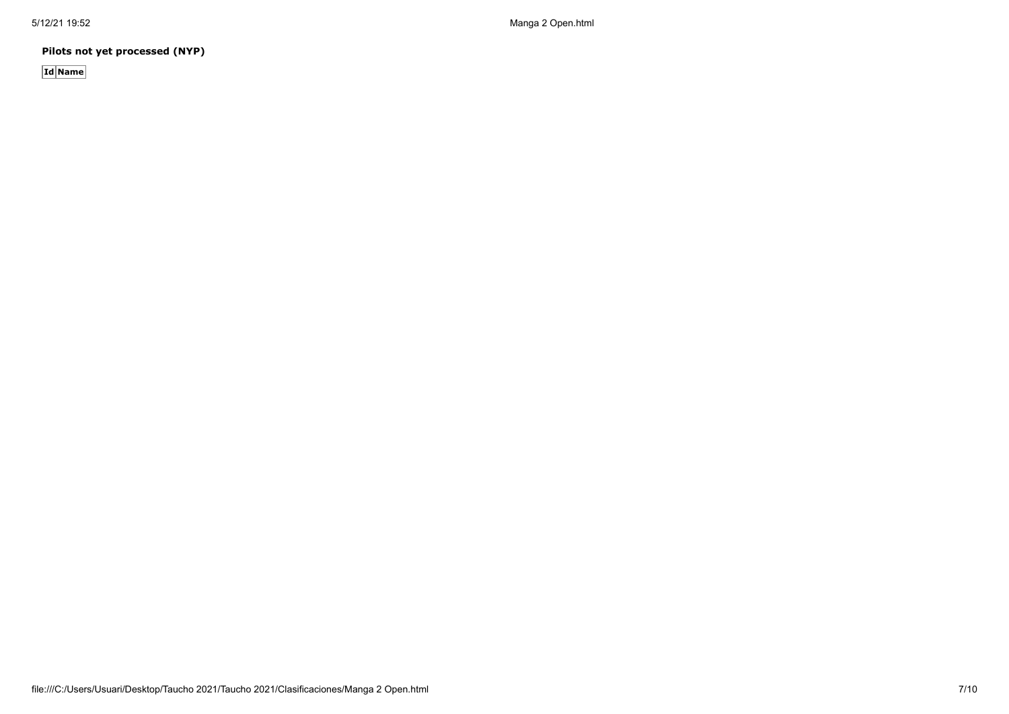**Pilots not yet processed (NYP)**

**Id Name**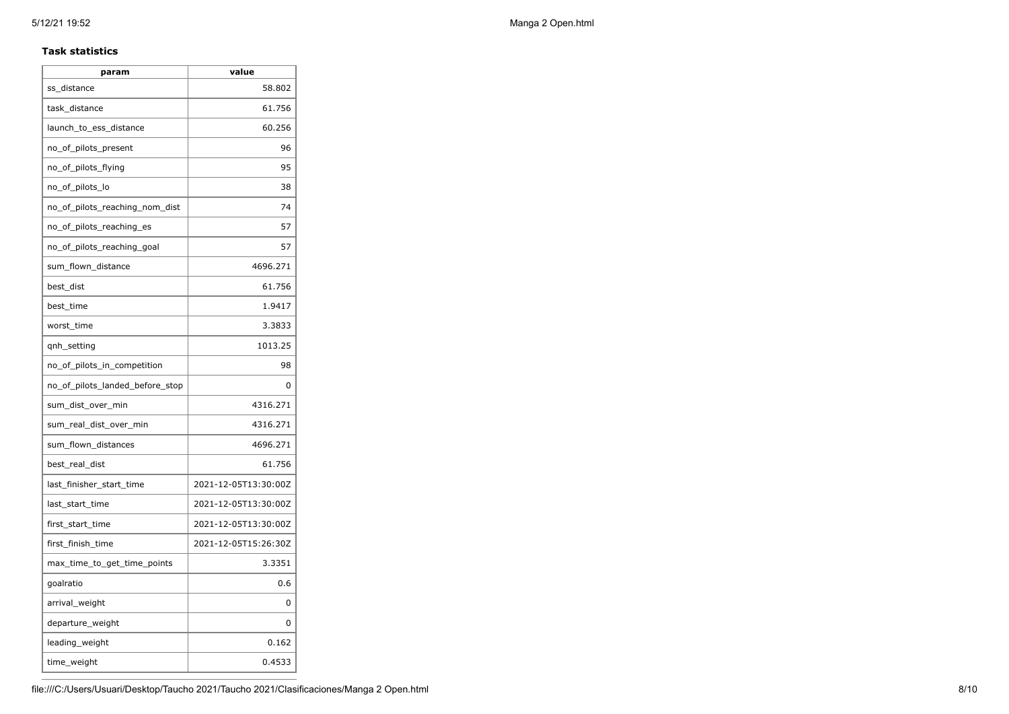#### **Task statistics**

| param                           | value                |
|---------------------------------|----------------------|
| ss distance                     | 58.802               |
| task_distance                   | 61.756               |
| launch to ess distance          | 60.256               |
| no_of_pilots_present            | 96                   |
| no_of_pilots_flying             | 95                   |
| no_of_pilots_lo                 | 38                   |
| no_of_pilots_reaching_nom_dist  | 74                   |
| no_of_pilots_reaching_es        | 57                   |
| no_of_pilots_reaching_goal      | 57                   |
| sum_flown_distance              | 4696.271             |
| best_dist                       | 61.756               |
| best time                       | 1.9417               |
| worst_time                      | 3.3833               |
| gnh_setting                     | 1013.25              |
| no_of_pilots_in_competition     | 98                   |
| no of pilots landed before stop | 0                    |
| sum_dist_over_min               | 4316.271             |
| sum_real_dist_over_min          | 4316.271             |
| sum_flown_distances             | 4696.271             |
| best real dist                  | 61.756               |
| last_finisher_start_time        | 2021-12-05T13:30:00Z |
| last_start_time                 | 2021-12-05T13:30:00Z |
| first_start_time                | 2021-12-05T13:30:00Z |
| first_finish_time               | 2021-12-05T15:26:30Z |
| max_time_to_get_time_points     | 3.3351               |
| goalratio                       | 0.6                  |
| arrival_weight                  | 0                    |
| departure_weight                | 0                    |
| leading_weight                  | 0.162                |
| time_weight                     | 0.4533               |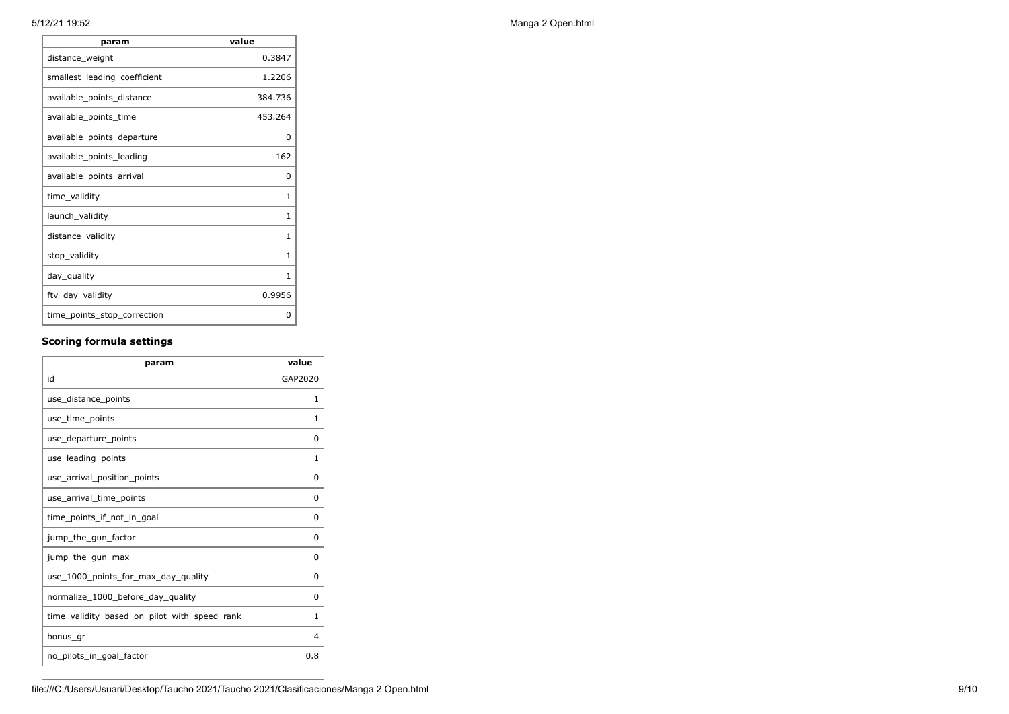| param                        | value        |
|------------------------------|--------------|
| distance_weight              | 0.3847       |
| smallest_leading_coefficient | 1.2206       |
| available_points_distance    | 384.736      |
| available_points_time        | 453.264      |
| available_points_departure   | 0            |
| available_points_leading     | 162          |
| available_points_arrival     | 0            |
| time_validity                | 1            |
| launch_validity              | $\mathbf{1}$ |
| distance_validity            | $\mathbf{1}$ |
| stop_validity                | 1            |
| day_quality                  | 1            |
| ftv_day_validity             | 0.9956       |
| time_points_stop_correction  | 0            |
|                              |              |

## **Scoring formula settings**

| param                                        | value   |
|----------------------------------------------|---------|
| id                                           | GAP2020 |
| use_distance_points                          | 1       |
| use time points                              | 1       |
| use_departure_points                         | 0       |
| use_leading_points                           | 1       |
| use arrival position points                  | 0       |
| use_arrival_time_points                      | 0       |
| time points if not in goal                   | 0       |
| jump_the_gun_factor                          | 0       |
| jump_the_gun_max                             | 0       |
| use_1000_points_for_max_day_quality          | 0       |
| normalize_1000_before_day_quality            | 0       |
| time_validity_based_on_pilot_with_speed_rank | 1       |
| bonus gr                                     | 4       |
| no pilots in goal factor                     | 0.8     |